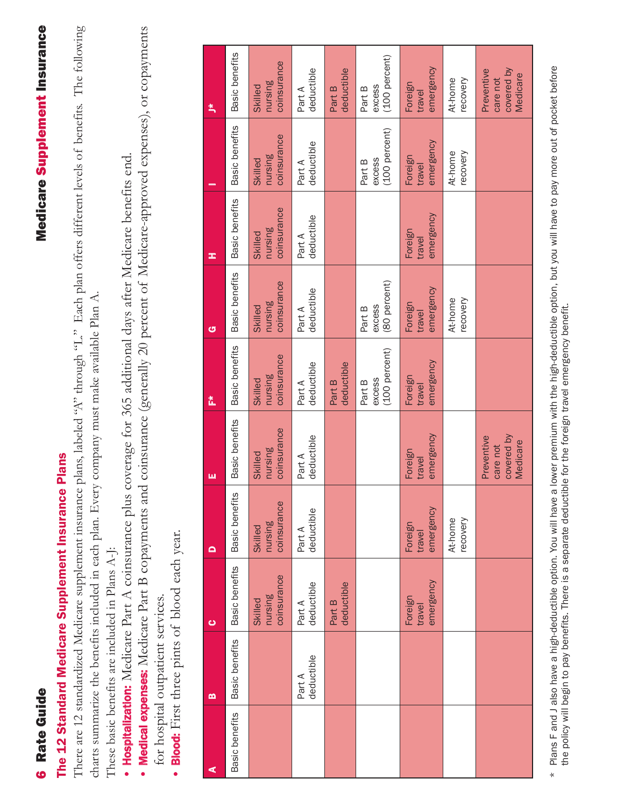## **6 Rate Guide**

## **Medicare Supplement Insurance** Rate Guide Medicare Supplement Insurance

## The 12 Standard Medicare Supplement Insurance Plans The 12 Standard Medicare Supplement Insurance Plans

There are 12 standardized Medicare supplement insurance plans, labeled 'A" through 'L." Each plan offers different levels of benefits. The following There are 12 standardized Medicare supplement insurance plans, labeled "A" through "L." Each plan offers different levels of benefits. The following charts summarize the benefits included in each plan. Every company must make available Plan A. charts summarize the benefits included in each plan. Every company must make available Plan A.

- These basic benefits are included in Plans A-J: These basic benefits are included in Plans A-J:
- Hospitalization: Medicare Part A coinsurance plus coverage for 365 additional days after Medicare benefits end. Hospitalization: Medicare Part A coinsurance plus coverage for 365 additional days after Medicare benefits end.
- Medical expenses: Medicare Part B copayments and coinsurance (generally 20 percent of Medicare-approved expenses), or copayments Medical expenses: Medicare Part B copayments and coinsurance (generally 20 percent of Medicare-approved expenses), or copayments for hospital outpatient services. for hospital outpatient services.
	- **Blood:** First three pints of blood each year. Blood: First three pints of blood each year. •

| ⋖              | m                    | $\bullet$                         | $\mathbf{\Omega}$                 | ш                                                | Ž.                                | G                                        | œ                                 |                                   | ¥,                                               |
|----------------|----------------------|-----------------------------------|-----------------------------------|--------------------------------------------------|-----------------------------------|------------------------------------------|-----------------------------------|-----------------------------------|--------------------------------------------------|
| Basic benefits | Basic benefits       | Basic benefits                    | Basic benefits                    | Basic benefits                                   | Basic benefits                    | Basic benefits                           | Basic benefits                    | Basic benefits                    | Basic benefits                                   |
|                |                      | coinsurance<br>nursing<br>Skilled | coinsurance<br>nursing<br>Skilled | coinsurance<br>nursing<br>Skilled                | coinsurance<br>nursing<br>Skilled | coinsurance<br>nursing<br><b>Skilled</b> | coinsurance<br>nursing<br>Skilled | coinsurance<br>nursing<br>Skilled | coinsurance<br>nursing<br>Skilled                |
|                | deductible<br>Part A | deductible<br>Part A              | deductible<br>Part A              | deductible<br>Part A                             | deductible<br>Part A              | deductible<br>Part A                     | deductible<br>Part A              | deductible<br>Part A              | deductible<br>Part A                             |
|                |                      | deductible<br>Part B              |                                   |                                                  | deductible<br>Part B              |                                          |                                   |                                   | deductible<br>Part B                             |
|                |                      |                                   |                                   |                                                  | (100 percent)<br>excess<br>Part B | (80 percent)<br>excess<br>Part B         |                                   | (100 percent)<br>excess<br>Part B | (100 percent)<br>excess<br>Part B                |
|                |                      | emergency<br>Foreign<br>travel    | emergency<br>Foreign<br>travel    | emergency<br>Foreign<br>travel                   | emergency<br>Foreign<br>travel    | emergency<br>Foreign<br>travel           | emergency<br>Foreign<br>travel    | emergency<br>Foreign<br>travel    | emergency<br>Foreign<br>travel                   |
|                |                      |                                   | recovery<br>At-home               |                                                  |                                   | At-home<br>recovery                      |                                   | At-home<br>recovery               | recovery<br>At-home                              |
|                |                      |                                   |                                   | covered by<br>Preventive<br>Medicare<br>care not |                                   |                                          |                                   |                                   | covered by<br>Preventive<br>Medicare<br>care not |

Plans F and J also have a high-deductible option. You will have a lower premium with the high-deductible option, but you will have to pay more out of pocket before \* Plans F and J also have a high-deductible option. You will have a lower premium with the high-deductible option, but you will have to pay more out of pocket before the policy will begin to pay benefits. There is a separate deductible for the foreign travel emergency benefit. the policy will begin to pay benefits. There is a separate deductible for the foreign travel emergency benefit. $\star$